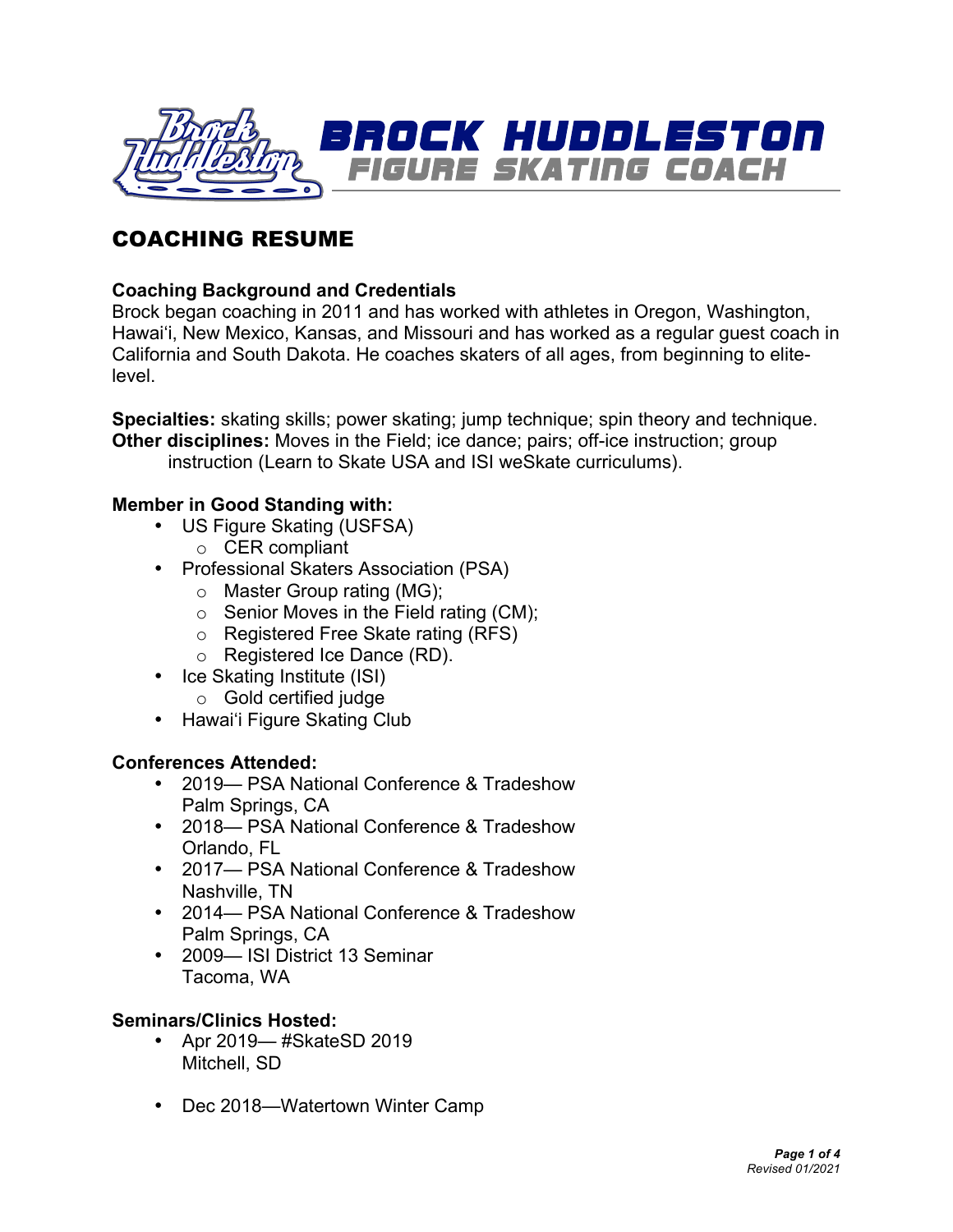

## COACHING RESUME

#### **Coaching Background and Credentials**

Brock began coaching in 2011 and has worked with athletes in Oregon, Washington, Hawaiʻi, New Mexico, Kansas, and Missouri and has worked as a regular guest coach in California and South Dakota. He coaches skaters of all ages, from beginning to elitelevel.

**Specialties:** skating skills; power skating; jump technique; spin theory and technique. **Other disciplines:** Moves in the Field; ice dance; pairs; off-ice instruction; group instruction (Learn to Skate USA and ISI weSkate curriculums).

#### **Member in Good Standing with:**

- US Figure Skating (USFSA)
	- o CER compliant
- Professional Skaters Association (PSA)
	- o Master Group rating (MG);
	- $\circ$  Senior Moves in the Field rating (CM);
	- o Registered Free Skate rating (RFS)
	- o Registered Ice Dance (RD).
- Ice Skating Institute (ISI)
	- o Gold certified judge
- Hawaiʻi Figure Skating Club

#### **Conferences Attended:**

- 2019— PSA National Conference & Tradeshow Palm Springs, CA
- 2018— PSA National Conference & Tradeshow Orlando, FL
- 2017— PSA National Conference & Tradeshow Nashville, TN
- 2014— PSA National Conference & Tradeshow Palm Springs, CA
- 2009— ISI District 13 Seminar Tacoma, WA

#### **Seminars/Clinics Hosted:**

- Apr 2019— #SkateSD 2019 Mitchell, SD
- Dec 2018—Watertown Winter Camp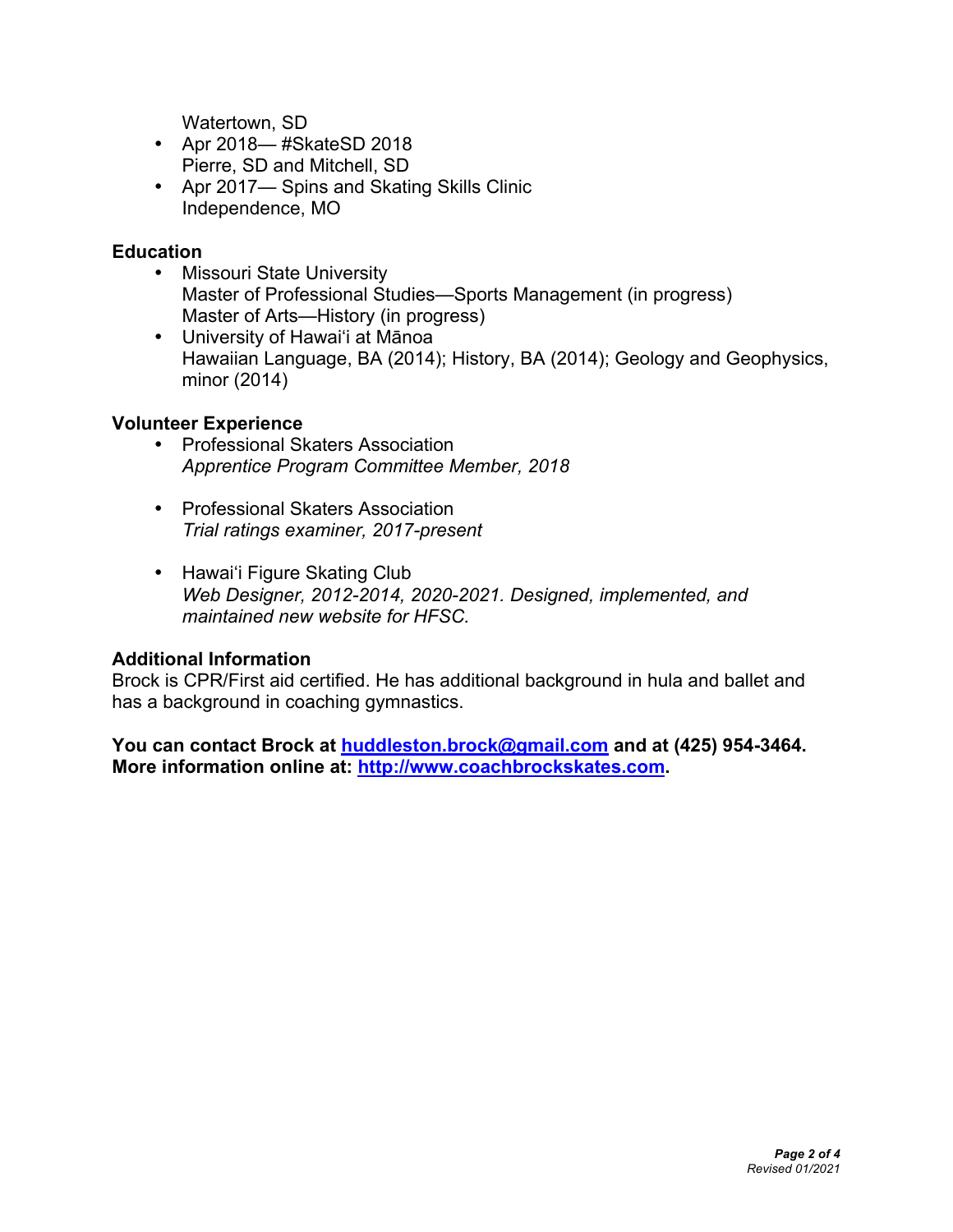Watertown, SD

- Apr 2018— #SkateSD 2018 Pierre, SD and Mitchell, SD
- Apr 2017— Spins and Skating Skills Clinic Independence, MO

#### **Education**

- Missouri State University Master of Professional Studies—Sports Management (in progress) Master of Arts—History (in progress)
- University of Hawaiʻi at Mānoa Hawaiian Language, BA (2014); History, BA (2014); Geology and Geophysics, minor (2014)

### **Volunteer Experience**

- Professional Skaters Association *Apprentice Program Committee Member, 2018*
- Professional Skaters Association *Trial ratings examiner, 2017-present*
- Hawai'i Figure Skating Club *Web Designer, 2012-2014, 2020-2021. Designed, implemented, and maintained new website for HFSC.*

### **Additional Information**

Brock is CPR/First aid certified. He has additional background in hula and ballet and has a background in coaching gymnastics.

**You can contact Brock at huddleston.brock@gmail.com and at (425) 954-3464. More information online at: http://www.coachbrockskates.com.**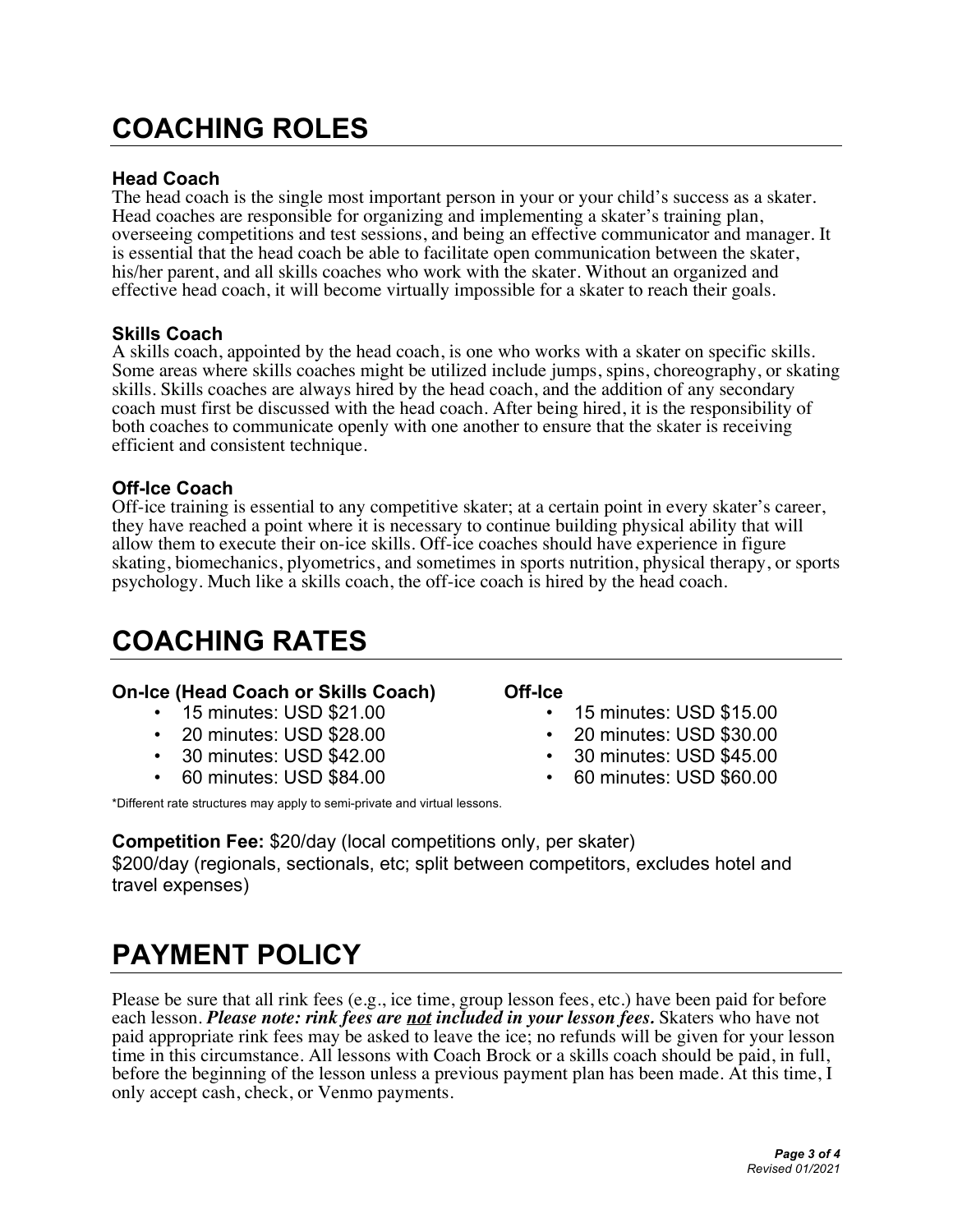# **COACHING ROLES**

#### **Head Coach**

The head coach is the single most important person in your or your child's success as a skater. Head coaches are responsible for organizing and implementing a skater's training plan, overseeing competitions and test sessions, and being an effective communicator and manager. It is essential that the head coach be able to facilitate open communication between the skater, his/her parent, and all skills coaches who work with the skater. Without an organized and effective head coach, it will become virtually impossible for a skater to reach their goals.

#### **Skills Coach**

A skills coach, appointed by the head coach, is one who works with a skater on specific skills. Some areas where skills coaches might be utilized include jumps, spins, choreography, or skating skills. Skills coaches are always hired by the head coach, and the addition of any secondary coach must first be discussed with the head coach. After being hired, it is the responsibility of both coaches to communicate openly with one another to ensure that the skater is receiving efficient and consistent technique.

#### **Off-Ice Coach**

Off-ice training is essential to any competitive skater; at a certain point in every skater's career, they have reached a point where it is necessary to continue building physical ability that will allow them to execute their on-ice skills. Off-ice coaches should have experience in figure skating, biomechanics, plyometrics, and sometimes in sports nutrition, physical therapy, or sports psychology. Much like a skills coach, the off-ice coach is hired by the head coach.

## **COACHING RATES**

#### **On-Ice (Head Coach or Skills Coach) Off-Ice**

- 
- 
- 
- 

\*Different rate structures may apply to semi-private and virtual lessons.

**Competition Fee:** \$20/day (local competitions only, per skater) \$200/day (regionals, sectionals, etc; split between competitors, excludes hotel and travel expenses)

## **PAYMENT POLICY**

Please be sure that all rink fees (e.g., ice time, group lesson fees, etc.) have been paid for before each lesson. *Please note: rink fees are not included in your lesson fees.* Skaters who have not paid appropriate rink fees may be asked to leave the ice; no refunds will be given for your lesson time in this circumstance. All lessons with Coach Brock or a skills coach should be paid, in full, before the beginning of the lesson unless a previous payment plan has been made. At this time, I only accept cash, check, or Venmo payments.

- 15 minutes: USD \$21.00 15 minutes: USD \$15.00
- 20 minutes: USD \$28.00 20 minutes: USD \$30.00
	- 30 minutes: USD \$42.00 30 minutes: USD \$45.00
- 60 minutes: USD \$84.00 60 minutes: USD \$60.00